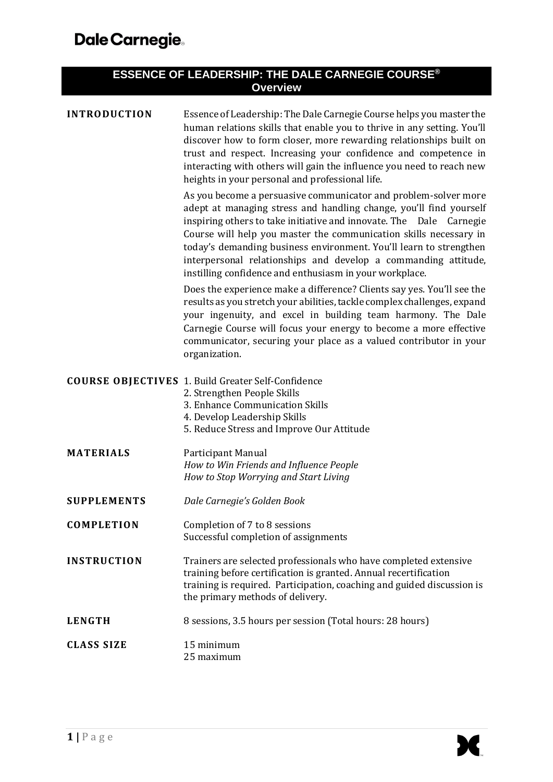| <b>ESSENCE OF LEADERSHIP: THE DALE CARNEGIE COURSE®</b><br><b>Overview</b> |                                                                                                                                                                                                                                                                                                                                                                                                                                                                                                                                                                                                                                                                                                                                                                                                                                                                       |  |  |
|----------------------------------------------------------------------------|-----------------------------------------------------------------------------------------------------------------------------------------------------------------------------------------------------------------------------------------------------------------------------------------------------------------------------------------------------------------------------------------------------------------------------------------------------------------------------------------------------------------------------------------------------------------------------------------------------------------------------------------------------------------------------------------------------------------------------------------------------------------------------------------------------------------------------------------------------------------------|--|--|
| <b>INTRODUCTION</b>                                                        | Essence of Leadership: The Dale Carnegie Course helps you master the<br>human relations skills that enable you to thrive in any setting. You'll<br>discover how to form closer, more rewarding relationships built on<br>trust and respect. Increasing your confidence and competence in<br>interacting with others will gain the influence you need to reach new<br>heights in your personal and professional life.                                                                                                                                                                                                                                                                                                                                                                                                                                                  |  |  |
|                                                                            | As you become a persuasive communicator and problem-solver more<br>adept at managing stress and handling change, you'll find yourself<br>inspiring others to take initiative and innovate. The Dale Carnegie<br>Course will help you master the communication skills necessary in<br>today's demanding business environment. You'll learn to strengthen<br>interpersonal relationships and develop a commanding attitude,<br>instilling confidence and enthusiasm in your workplace.<br>Does the experience make a difference? Clients say yes. You'll see the<br>results as you stretch your abilities, tackle complex challenges, expand<br>your ingenuity, and excel in building team harmony. The Dale<br>Carnegie Course will focus your energy to become a more effective<br>communicator, securing your place as a valued contributor in your<br>organization. |  |  |
|                                                                            | <b>COURSE OBJECTIVES</b> 1. Build Greater Self-Confidence<br>2. Strengthen People Skills<br>3. Enhance Communication Skills<br>4. Develop Leadership Skills<br>5. Reduce Stress and Improve Our Attitude                                                                                                                                                                                                                                                                                                                                                                                                                                                                                                                                                                                                                                                              |  |  |
| <b>MATERIALS</b>                                                           | Participant Manual<br>How to Win Friends and Influence People<br>How to Stop Worrying and Start Living                                                                                                                                                                                                                                                                                                                                                                                                                                                                                                                                                                                                                                                                                                                                                                |  |  |
| <b>SUPPLEMENTS</b>                                                         | Dale Carnegie's Golden Book                                                                                                                                                                                                                                                                                                                                                                                                                                                                                                                                                                                                                                                                                                                                                                                                                                           |  |  |
| <b>COMPLETION</b>                                                          | Completion of 7 to 8 sessions<br>Successful completion of assignments                                                                                                                                                                                                                                                                                                                                                                                                                                                                                                                                                                                                                                                                                                                                                                                                 |  |  |
| <b>INSTRUCTION</b>                                                         | Trainers are selected professionals who have completed extensive<br>training before certification is granted. Annual recertification<br>training is required. Participation, coaching and guided discussion is<br>the primary methods of delivery.                                                                                                                                                                                                                                                                                                                                                                                                                                                                                                                                                                                                                    |  |  |
| <b>LENGTH</b>                                                              | 8 sessions, 3.5 hours per session (Total hours: 28 hours)                                                                                                                                                                                                                                                                                                                                                                                                                                                                                                                                                                                                                                                                                                                                                                                                             |  |  |
| <b>CLASS SIZE</b>                                                          | 15 minimum<br>25 maximum                                                                                                                                                                                                                                                                                                                                                                                                                                                                                                                                                                                                                                                                                                                                                                                                                                              |  |  |

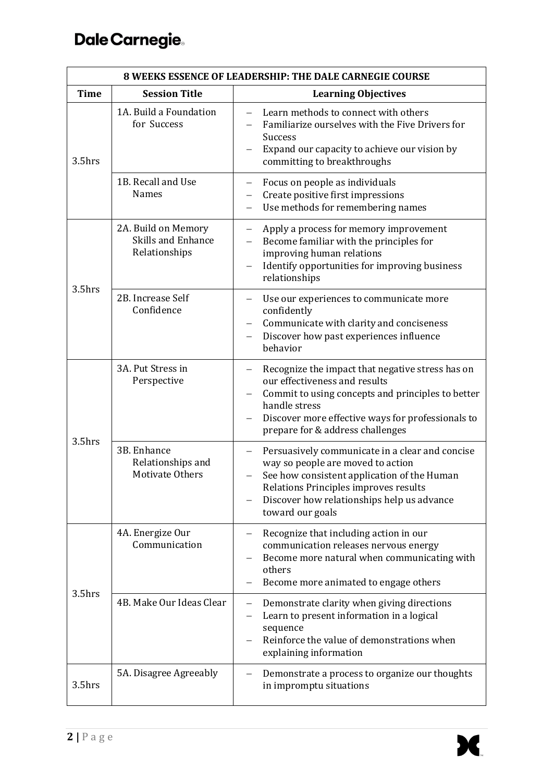## Dale Carnegie.

| <b>8 WEEKS ESSENCE OF LEADERSHIP: THE DALE CARNEGIE COURSE</b> |                                                            |                                                                                                                                                                                                                                                                            |  |  |
|----------------------------------------------------------------|------------------------------------------------------------|----------------------------------------------------------------------------------------------------------------------------------------------------------------------------------------------------------------------------------------------------------------------------|--|--|
| <b>Time</b>                                                    | <b>Session Title</b>                                       | <b>Learning Objectives</b>                                                                                                                                                                                                                                                 |  |  |
| 3.5hrs                                                         | 1A. Build a Foundation<br>for Success                      | Learn methods to connect with others<br>$\overline{\phantom{0}}$<br>Familiarize ourselves with the Five Drivers for<br><b>Success</b><br>Expand our capacity to achieve our vision by<br>committing to breakthroughs                                                       |  |  |
|                                                                | 1B. Recall and Use<br><b>Names</b>                         | Focus on people as individuals<br>$\overline{\phantom{0}}$<br>Create positive first impressions<br>Use methods for remembering names                                                                                                                                       |  |  |
| $3.5$ hrs                                                      | 2A. Build on Memory<br>Skills and Enhance<br>Relationships | Apply a process for memory improvement<br>$\qquad \qquad -$<br>Become familiar with the principles for<br>improving human relations<br>Identify opportunities for improving business<br>relationships                                                                      |  |  |
|                                                                | 2B. Increase Self<br>Confidence                            | Use our experiences to communicate more<br>confidently<br>Communicate with clarity and conciseness<br>Discover how past experiences influence<br>behavior                                                                                                                  |  |  |
| $3.5$ hrs                                                      | 3A. Put Stress in<br>Perspective                           | Recognize the impact that negative stress has on<br>$\qquad \qquad -$<br>our effectiveness and results<br>Commit to using concepts and principles to better<br>handle stress<br>Discover more effective ways for professionals to<br>prepare for & address challenges      |  |  |
|                                                                | 3B. Enhance<br>Relationships and<br>Motivate Others        | Persuasively communicate in a clear and concise<br>$\overline{\phantom{0}}$<br>way so people are moved to action<br>See how consistent application of the Human<br>Relations Principles improves results<br>Discover how relationships help us advance<br>toward our goals |  |  |
| 3.5hrs                                                         | 4A. Energize Our<br>Communication                          | Recognize that including action in our<br>communication releases nervous energy<br>Become more natural when communicating with<br>others<br>Become more animated to engage others                                                                                          |  |  |
|                                                                | 4B. Make Our Ideas Clear                                   | Demonstrate clarity when giving directions<br>Learn to present information in a logical<br>sequence<br>Reinforce the value of demonstrations when<br>explaining information                                                                                                |  |  |
| 3.5hrs                                                         | 5A. Disagree Agreeably                                     | Demonstrate a process to organize our thoughts<br>in impromptu situations                                                                                                                                                                                                  |  |  |